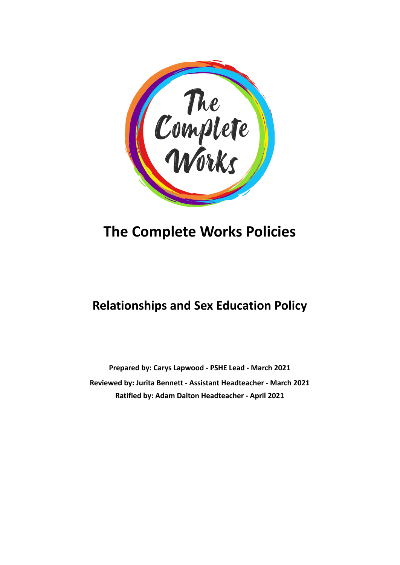

# **The Complete Works Policies**

# **Relationships and Sex Education Policy**

**Prepared by: Carys Lapwood - PSHE Lead - March 2021 Reviewed by: Jurita Bennett - Assistant Headteacher - March 2021 Ratified by: Adam Dalton Headteacher - April 2021**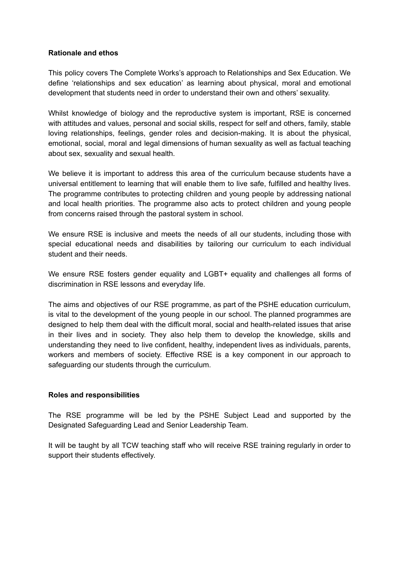#### **Rationale and ethos**

This policy covers The Complete Works's approach to Relationships and Sex Education. We define 'relationships and sex education' as learning about physical, moral and emotional development that students need in order to understand their own and others' sexuality.

Whilst knowledge of biology and the reproductive system is important, RSE is concerned with attitudes and values, personal and social skills, respect for self and others, family, stable loving relationships, feelings, gender roles and decision-making. It is about the physical, emotional, social, moral and legal dimensions of human sexuality as well as factual teaching about sex, sexuality and sexual health.

We believe it is important to address this area of the curriculum because students have a universal entitlement to learning that will enable them to live safe, fulfilled and healthy lives. The programme contributes to protecting children and young people by addressing national and local health priorities. The programme also acts to protect children and young people from concerns raised through the pastoral system in school.

We ensure RSE is inclusive and meets the needs of all our students, including those with special educational needs and disabilities by tailoring our curriculum to each individual student and their needs.

We ensure RSE fosters gender equality and LGBT+ equality and challenges all forms of discrimination in RSE lessons and everyday life.

The aims and objectives of our RSE programme, as part of the PSHE education curriculum, is vital to the development of the young people in our school. The planned programmes are designed to help them deal with the difficult moral, social and health-related issues that arise in their lives and in society. They also help them to develop the knowledge, skills and understanding they need to live confident, healthy, independent lives as individuals, parents, workers and members of society. Effective RSE is a key component in our approach to safeguarding our students through the curriculum.

#### **Roles and responsibilities**

The RSE programme will be led by the PSHE Subject Lead and supported by the Designated Safeguarding Lead and Senior Leadership Team.

It will be taught by all TCW teaching staff who will receive RSE training regularly in order to support their students effectively.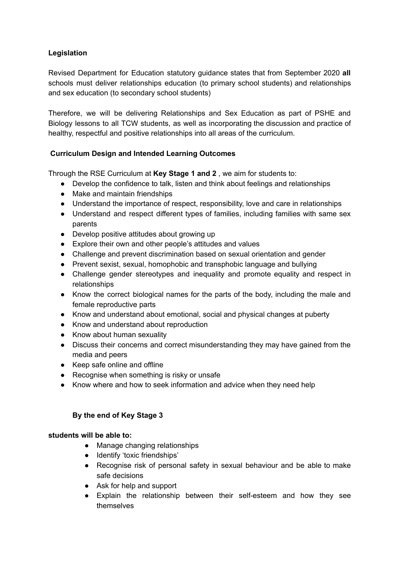# **Legislation**

Revised Department for Education statutory guidance states that from September 2020 **all** schools must deliver relationships education (to primary school students) and relationships and sex education (to secondary school students)

Therefore, we will be delivering Relationships and Sex Education as part of PSHE and Biology lessons to all TCW students, as well as incorporating the discussion and practice of healthy, respectful and positive relationships into all areas of the curriculum.

# **Curriculum Design and Intended Learning Outcomes**

Through the RSE Curriculum at **Key Stage 1 and 2** , we aim for students to:

- Develop the confidence to talk, listen and think about feelings and relationships
- Make and maintain friendships
- Understand the importance of respect, responsibility, love and care in relationships
- Understand and respect different types of families, including families with same sex parents
- Develop positive attitudes about growing up
- Explore their own and other people's attitudes and values
- Challenge and prevent discrimination based on sexual orientation and gender
- Prevent sexist, sexual, homophobic and transphobic language and bullying
- Challenge gender stereotypes and inequality and promote equality and respect in relationships
- Know the correct biological names for the parts of the body, including the male and female reproductive parts
- Know and understand about emotional, social and physical changes at puberty
- Know and understand about reproduction
- Know about human sexuality
- Discuss their concerns and correct misunderstanding they may have gained from the media and peers
- Keep safe online and offline
- Recognise when something is risky or unsafe
- Know where and how to seek information and advice when they need help

# **By the end of Key Stage 3**

# **students will be able to:**

- Manage changing relationships
- Identify 'toxic friendships'
- Recognise risk of personal safety in sexual behaviour and be able to make safe decisions
- Ask for help and support
- Explain the relationship between their self-esteem and how they see themselves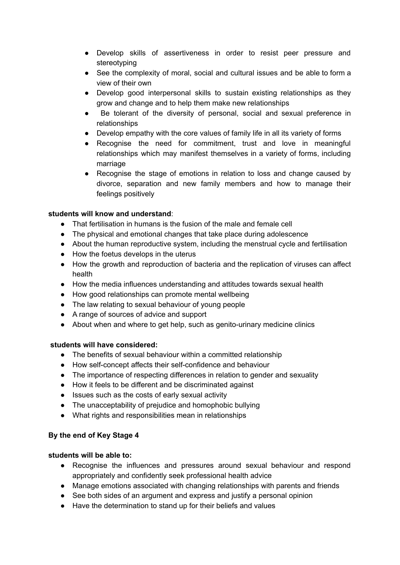- Develop skills of assertiveness in order to resist peer pressure and stereotyping
- See the complexity of moral, social and cultural issues and be able to form a view of their own
- Develop good interpersonal skills to sustain existing relationships as they grow and change and to help them make new relationships
- Be tolerant of the diversity of personal, social and sexual preference in relationships
- Develop empathy with the core values of family life in all its variety of forms
- Recognise the need for commitment, trust and love in meaningful relationships which may manifest themselves in a variety of forms, including marriage
- Recognise the stage of emotions in relation to loss and change caused by divorce, separation and new family members and how to manage their feelings positively

# **students will know and understand**:

- That fertilisation in humans is the fusion of the male and female cell
- The physical and emotional changes that take place during adolescence
- About the human reproductive system, including the menstrual cycle and fertilisation
- How the foetus develops in the uterus
- How the growth and reproduction of bacteria and the replication of viruses can affect health
- How the media influences understanding and attitudes towards sexual health
- How good relationships can promote mental wellbeing
- The law relating to sexual behaviour of young people
- A range of sources of advice and support
- About when and where to get help, such as genito-urinary medicine clinics

# **students will have considered:**

- The benefits of sexual behaviour within a committed relationship
- How self-concept affects their self-confidence and behaviour
- The importance of respecting differences in relation to gender and sexuality
- How it feels to be different and be discriminated against
- Issues such as the costs of early sexual activity
- The unacceptability of prejudice and homophobic bullying
- What rights and responsibilities mean in relationships

# **By the end of Key Stage 4**

# **students will be able to:**

- Recognise the influences and pressures around sexual behaviour and respond appropriately and confidently seek professional health advice
- Manage emotions associated with changing relationships with parents and friends
- See both sides of an argument and express and justify a personal opinion
- Have the determination to stand up for their beliefs and values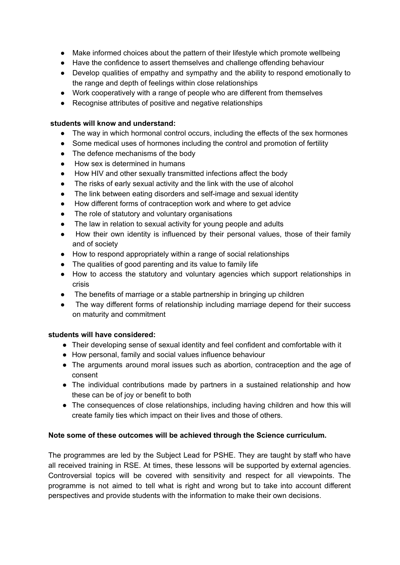- Make informed choices about the pattern of their lifestyle which promote wellbeing
- Have the confidence to assert themselves and challenge offending behaviour
- Develop qualities of empathy and sympathy and the ability to respond emotionally to the range and depth of feelings within close relationships
- Work cooperatively with a range of people who are different from themselves
- Recognise attributes of positive and negative relationships

#### **students will know and understand:**

- The way in which hormonal control occurs, including the effects of the sex hormones
- Some medical uses of hormones including the control and promotion of fertility
- The defence mechanisms of the body
- How sex is determined in humans
- How HIV and other sexually transmitted infections affect the body
- The risks of early sexual activity and the link with the use of alcohol
- The link between eating disorders and self-image and sexual identity
- How different forms of contraception work and where to get advice
- The role of statutory and voluntary organisations
- The law in relation to sexual activity for young people and adults
- How their own identity is influenced by their personal values, those of their family and of society
- How to respond appropriately within a range of social relationships
- The qualities of good parenting and its value to family life
- How to access the statutory and voluntary agencies which support relationships in crisis
- The benefits of marriage or a stable partnership in bringing up children
- The way different forms of relationship including marriage depend for their success on maturity and commitment

# **students will have considered:**

- Their developing sense of sexual identity and feel confident and comfortable with it
- How personal, family and social values influence behaviour
- The arguments around moral issues such as abortion, contraception and the age of consent
- The individual contributions made by partners in a sustained relationship and how these can be of joy or benefit to both
- The consequences of close relationships, including having children and how this will create family ties which impact on their lives and those of others.

# **Note some of these outcomes will be achieved through the Science curriculum.**

The programmes are led by the Subject Lead for PSHE. They are taught by staff who have all received training in RSE. At times, these lessons will be supported by external agencies. Controversial topics will be covered with sensitivity and respect for all viewpoints. The programme is not aimed to tell what is right and wrong but to take into account different perspectives and provide students with the information to make their own decisions.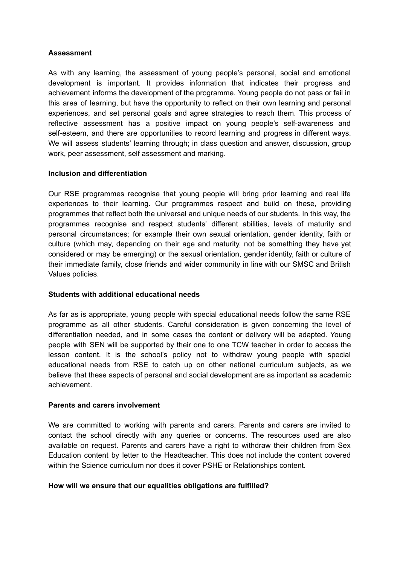#### **Assessment**

As with any learning, the assessment of young people's personal, social and emotional development is important. It provides information that indicates their progress and achievement informs the development of the programme. Young people do not pass or fail in this area of learning, but have the opportunity to reflect on their own learning and personal experiences, and set personal goals and agree strategies to reach them. This process of reflective assessment has a positive impact on young people's self-awareness and self-esteem, and there are opportunities to record learning and progress in different ways. We will assess students' learning through; in class question and answer, discussion, group work, peer assessment, self assessment and marking.

#### **Inclusion and differentiation**

Our RSE programmes recognise that young people will bring prior learning and real life experiences to their learning. Our programmes respect and build on these, providing programmes that reflect both the universal and unique needs of our students. In this way, the programmes recognise and respect students' different abilities, levels of maturity and personal circumstances; for example their own sexual orientation, gender identity, faith or culture (which may, depending on their age and maturity, not be something they have yet considered or may be emerging) or the sexual orientation, gender identity, faith or culture of their immediate family, close friends and wider community in line with our SMSC and British Values policies.

#### **Students with additional educational needs**

As far as is appropriate, young people with special educational needs follow the same RSE programme as all other students. Careful consideration is given concerning the level of differentiation needed, and in some cases the content or delivery will be adapted. Young people with SEN will be supported by their one to one TCW teacher in order to access the lesson content. It is the school's policy not to withdraw young people with special educational needs from RSE to catch up on other national curriculum subjects, as we believe that these aspects of personal and social development are as important as academic achievement.

#### **Parents and carers involvement**

We are committed to working with parents and carers. Parents and carers are invited to contact the school directly with any queries or concerns. The resources used are also available on request. Parents and carers have a right to withdraw their children from Sex Education content by letter to the Headteacher. This does not include the content covered within the Science curriculum nor does it cover PSHE or Relationships content.

#### **How will we ensure that our equalities obligations are fulfilled?**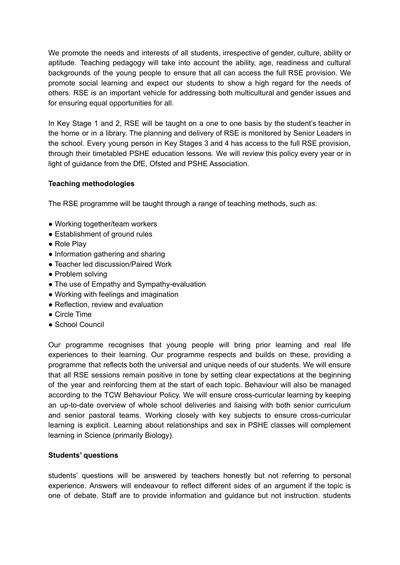We promote the needs and interests of all students, irrespective of gender, culture, ability or aptitude. Teaching pedagogy will take into account the ability, age, readiness and cultural backgrounds of the young people to ensure that all can access the full RSE provision. We promote social learning and expect our students to show a high regard for the needs of others. RSE is an important vehicle for addressing both multicultural and gender issues and for ensuring equal opportunities for all.

In Key Stage 1 and 2, RSE will be taught on a one to one basis by the student's teacher in the home or in a library. The planning and delivery of RSE is monitored by Senior Leaders in the school. Every young person in Key Stages 3 and 4 has access to the full RSE provision, through their timetabled PSHE education lessons. We will review this policy every year or in light of guidance from the DfE, Ofsted and PSHE Association.

#### **Teaching methodologies**

The RSE programme will be taught through a range of teaching methods, such as:

- Working together/team workers
- Establishment of ground rules
- Role Play
- Information gathering and sharing
- Teacher led discussion/Paired Work
- Problem solving
- The use of Empathy and Sympathy-evaluation
- Working with feelings and imagination
- Reflection, review and evaluation
- Circle Time
- School Council

Our programme recognises that young people will bring prior learning and real life experiences to their learning. Our programme respects and builds on these, providing a programme that reflects both the universal and unique needs of our students. We will ensure that all RSE sessions remain positive in tone by setting clear expectations at the beginning of the year and reinforcing them at the start of each topic. Behaviour will also be managed according to the TCW Behaviour Policy. We will ensure cross-curricular learning by keeping an up-to-date overview of whole school deliveries and liaising with both senior curriculum and senior pastoral teams. Working closely with key subjects to ensure cross-curricular learning is explicit. Learning about relationships and sex in PSHE classes will complement learning in Science (primarily Biology).

#### **Students' questions**

students' questions will be answered by teachers honestly but not referring to personal experience. Answers will endeavour to reflect different sides of an argument if the topic is one of debate. Staff are to provide information and guidance but not instruction. students